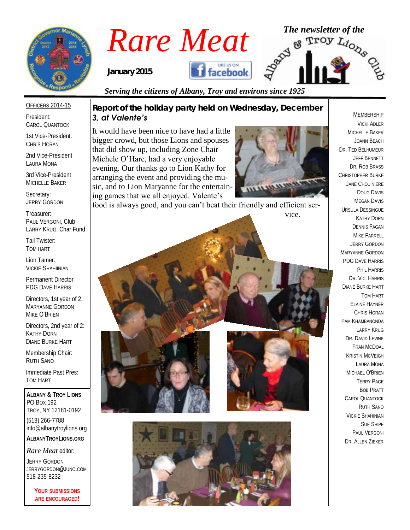

*Rare Meat* <sup>The newsletter of the **Rare Meat**  $\frac{1}{2}$   $\frac{1}{2}$   $\frac{1}{2}$   $\frac{1}{2}$   $\frac{1}{2}$   $\frac{1}{2}$   $\frac{1}{2}$   $\frac{1}{2}$   $\frac{1}{2}$   $\frac{1}{2}$   $\frac{1}{2}$   $\frac{1}{2}$   $\frac{1}{2}$   $\frac{1}{2}$   $\frac{1}{2}$   $\frac{1}{2}$   $\frac{1}{2}$   $\frac{1$ 

*January 2015*

# **facebook**

*Serving the citizens of Albany, Troy and environs since 1925*

# OFFICERS 2014-15

President: CAROL QUANTOCK

1st Vice-President: CHRIS HORAN

2nd Vice-President LAURA MONA

3rd Vice-President MICHELLE BAKER

Secretary: JERRY GORDON

Treasurer: PAUL VERGONI, Club LARRY KRUG, Char Fund

Tail Twister: TOM HART

Lion Tamer: VICKIE SHAHIINIAN

Permanent Director PDG DAVE HARRIS

Directors, 1st year of 2: MARYANNE GORDON MIKE O'BRIEN

Directors, 2nd year of 2: KATHY DORN DIANE BURKE HART

Membership Chair: RUTH SANO

Immediate Past Pres: TOM HART

**ALBANY & TROY LIONS** PO BOX 192 TROY, NY 12181-0192 (518) 266-7788 info@albanytroylions.org **ALBANYTROYLIONS.ORG**

*Rare Meat* editor:

JERRY GORDON JERRYGORDON@JUNO.COM 518-235-8232

> **YOUR SUBMISSIONS ARE ENCOURAGED!**

*Report of the holiday party held on Wednesday, December 3, at Valente's*

It would have been nice to have had a little bigger crowd, but those Lions and spouses that did show up, including Zone Chair Michele O'Hare, had a very enjoyable evening. Our thanks go to Lion Kathy for arranging the event and providing the music, and to Lion Maryanne for the entertaining games that we all enjoyed. Valente's



food is always good, and you can't beat their friendly and efficient ser-

vice.





MICHELLE BAKER JOANN BEACH DR. TED BELHUMEUR JEFF BENNETT DR. ROB BRASS CHRISTOPHER BURKE JANE CHOUINIERE DOUG DAVIS MEGAN DAVIS URSULA DESSINGUE KATHY DORN DENNIS FAGAN MIKE FARRELL JERRY GORDON MARYANNE GORDON PDG DAVE HARRIS PHIL HARRIS DR. VICI HARRIS DIANE BURKE HART TOM HART ELAINE HAYNER CHRIS HORAN PAM KHAMBANONDA LARRY KRUG DR. DAVID EVINE FRAN MCDOAL KRISTIN MCVEIGH LAURA MONA MICHAEL O'BRIEN TERRY PAGE BOB PRATT CAROL QUANTOCK RUTH SANO VICKIE SHAHINIAN SUE SHIPE PAUL VERGONI DR. ALLEN ZIEKER

MEMBERSHIP VICKI ADLER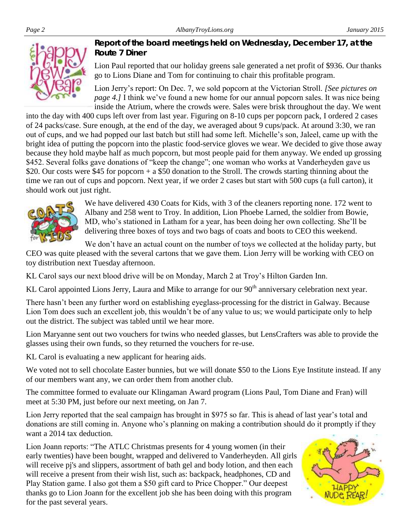

*Report of the board meetings held on Wednesday, December 17, at the Route 7 Diner* 

Lion Paul reported that our holiday greens sale generated a net profit of \$936. Our thanks go to Lions Diane and Tom for continuing to chair this profitable program.

Lion Jerry's report: On Dec. 7, we sold popcorn at the Victorian Stroll. *[See pictures on page 4.]* I think we've found a new home for our annual popcorn sales. It was nice being inside the Atrium, where the crowds were. Sales were brisk throughout the day. We went

into the day with 400 cups left over from last year. Figuring on 8-10 cups per popcorn pack, I ordered 2 cases of 24 packs/case. Sure enough, at the end of the day, we averaged about 9 cups/pack. At around 3:30, we ran out of cups, and we had popped our last batch but still had some left. Michelle's son, Jaleel, came up with the bright idea of putting the popcorn into the plastic food-service gloves we wear. We decided to give those away because they hold maybe half as much popcorn, but most people paid for them anyway. We ended up grossing \$452. Several folks gave donations of "keep the change"; one woman who works at Vanderheyden gave us \$20. Our costs were \$45 for popcorn + a \$50 donation to the Stroll. The crowds starting thinning about the time we ran out of cups and popcorn. Next year, if we order 2 cases but start with 500 cups (a full carton), it should work out just right.



We have delivered 430 Coats for Kids, with 3 of the cleaners reporting none. 172 went to Albany and 258 went to Troy. In addition, Lion Phoebe Larned, the soldier from Bowie, MD, who's stationed in Latham for a year, has been doing her own collecting. She'll be delivering three boxes of toys and two bags of coats and boots to CEO this weekend.

We don't have an actual count on the number of toys we collected at the holiday party, but

CEO was quite pleased with the several cartons that we gave them. Lion Jerry will be working with CEO on toy distribution next Tuesday afternoon.

KL Carol says our next blood drive will be on Monday, March 2 at Troy's Hilton Garden Inn.

KL Carol appointed Lions Jerry, Laura and Mike to arrange for our 90<sup>th</sup> anniversary celebration next year.

There hasn't been any further word on establishing eyeglass-processing for the district in Galway. Because Lion Tom does such an excellent job, this wouldn't be of any value to us; we would participate only to help out the district. The subject was tabled until we hear more.

Lion Maryanne sent out two vouchers for twins who needed glasses, but LensCrafters was able to provide the glasses using their own funds, so they returned the vouchers for re-use.

KL Carol is evaluating a new applicant for hearing aids.

We voted not to sell chocolate Easter bunnies, but we will donate \$50 to the Lions Eye Institute instead. If any of our members want any, we can order them from another club.

The committee formed to evaluate our Klingaman Award program (Lions Paul, Tom Diane and Fran) will meet at 5:30 PM, just before our next meeting, on Jan 7.

Lion Jerry reported that the seal campaign has brought in \$975 so far. This is ahead of last year's total and donations are still coming in. Anyone who's planning on making a contribution should do it promptly if they want a 2014 tax deduction.

Lion Joann reports: "The ATLC Christmas presents for 4 young women (in their early twenties) have been bought, wrapped and delivered to Vanderheyden. All girls will receive pj's and slippers, assortment of bath gel and body lotion, and then each will receive a present from their wish list, such as: backpack, headphones, CD and Play Station game. I also got them a \$50 gift card to Price Chopper." Our deepest thanks go to Lion Joann for the excellent job she has been doing with this program for the past several years.

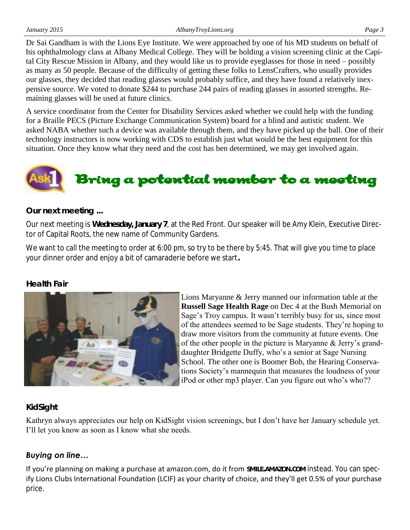*January 2015 AlbanyTroyLions.org Page 3* Dr Sai Gandham is with the Lions Eye Institute. We were approached by one of his MD students on behalf of

his ophthalmology class at Albany Medical College. They will be holding a vision screening clinic at the Capital City Rescue Mission in Albany, and they would like us to provide eyeglasses for those in need – possibly as many as 50 people. Because of the difficulty of getting these folks to LensCrafters, who usually provides our glasses, they decided that reading glasses would probably suffice, and they have found a relatively inexpensive source. We voted to donate \$244 to purchase 244 pairs of reading glasses in assorted strengths. Remaining glasses will be used at future clinics.

A service coordinator from the Center for Disability Services asked whether we could help with the funding for a Braille PECS (Picture Exchange Communication System) board for a blind and autistic student. We asked NABA whether such a device was available through them, and they have picked up the ball. One of their technology instructors is now working with CDS to establish just what would be the best equipment for this situation. Once they know what they need and the cost has ben determined, we may get involved again.

# bring a potential member to a meeting

# *Our next meeting ...*

Our next meeting is **Wednesday, January 7**, at the Red Front. Our speaker will be Amy Klein, Executive Director of Capital Roots, the new name of Community Gardens.

We want to call the meeting to order at 6:00 pm, so try to be there by 5:45. That will give you time to place your dinner order and enjoy a bit of camaraderie before we start**.**

# *Health Fair*



Lions Maryanne & Jerry manned our information table at the **Russell Sage Health Rage** on Dec 4 at the Bush Memorial on Sage's Troy campus. It wasn't terribly busy for us, since most of the attendees seemed to be Sage students. They're hoping to draw more visitors from the community at future events. One of the other people in the picture is Maryanne & Jerry's granddaughter Bridgette Duffy, who's a senior at Sage Nursing School. The other one is Boomer Bob, the Hearing Conservations Society's mannequin that measures the loudness of your iPod or other mp3 player. Can you figure out who's who??

# *KidSight*

Kathryn always appreciates our help on KidSight vision screenings, but I don't have her January schedule yet. I'll let you know as soon as I know what she needs.

# *Buying on line…*

If you're planning on making a purchase at amazon.com, do it from **SMILE.AMAZON.COM** instead. You can specify Lions Clubs International Foundation (LCIF) as your charity of choice, and they'll get 0.5% of your purchase price.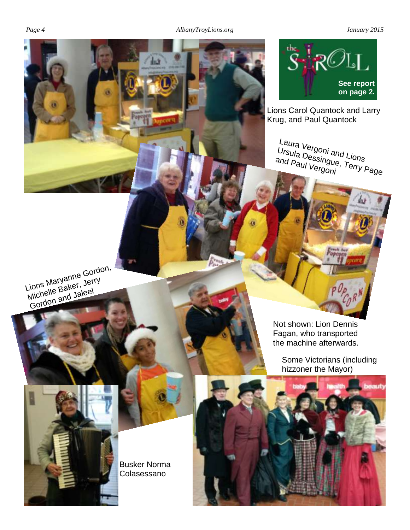нă



Lions Carol Quantock and Larry Krug, and Paul Quantock

Laura Vergoni and Lions<br>Ursula Dessingue, Terry F<br>and Paul Vergoni Ursula <sup>vergoni</sup> and Lions<br>and Paul Vergoni, Terry Page

Lions Maryanne Gordon, Livita Island Jerry<br>Michelle Baker, Jerry Gordon and Jaleel

> Not shown: Lion Dennis Fagan, who transported the machine afterwards.

Some Victorians (including hizzoner the Mayor)



Busker Norma Colasessano

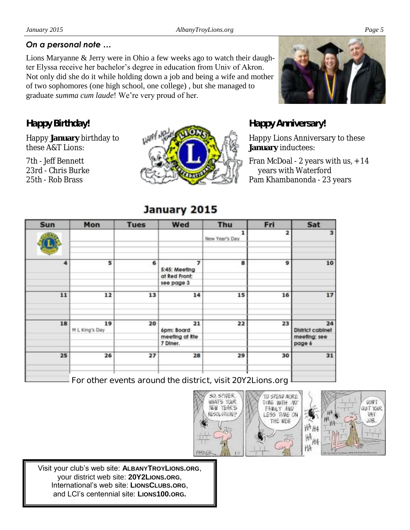*Happy Birthday!*

these A&T Lions: 7th - Jeff Bennett 23rd - Chris Burke 25th - Rob Brass

Happy **January** birthday to

Lions Maryanne & Jerry were in Ohio a few weeks ago to watch their daughter Elyssa receive her bachelor's degree in education from Univ of Akron. Not only did she do it while holding down a job and being a wife and mother of two sophomores (one high school, one college) , but she managed to graduate *summa cum laude*! We're very proud of her.



*Happy Anniversary!*

Happy Lions Anniversary to these **January** inductees:

Fran McDoal - 2 years with us, + 14 years with Waterford Pam Khambanonda - 23 years

### **Tues** Wed Mon Fri Sat **Sun** Thu  $\mathbf{1}$ 2 3 New Year's Day 4 5 6 7 8 9 10 5:45: Meeting at Red Front: see page 3 11 12 13 14 15 16 17 18 19 20 21 22 23 24 M L King's Day 6pm: Board **District cabinet** meeting at Rte meeting; see 7 Diner. page 6 25 26 27 28 29 30 31

**For other events around the district, visit 20Y2Lions.org**





Visit your club's web site: **ALBANYTROYLIONS.ORG**, your district web site: **20Y2LIONS.ORG**, International's web site: **LIONSCLUBS.ORG**, and LCI's centennial site: **LIONS100.ORG.**

# January 2015